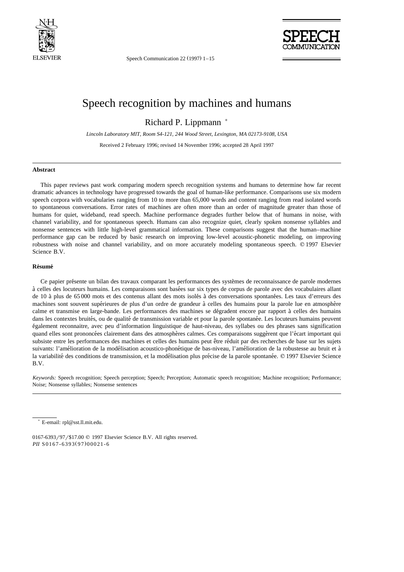

Speech Communication 22 (1997)  $1-15$ 



# Speech recognition by machines and humans

Richard P. Lippmann \*

*Lincoln Laboratory MIT, Room S4-121, 244 Wood Street, Lexington, MA 02173-9108, USA*

Received 2 February 1996; revised 14 November 1996; accepted 28 April 1997

### **Abstract**

This paper reviews past work comparing modern speech recognition systems and humans to determine how far recent dramatic advances in technology have progressed towards the goal of human-like performance. Comparisons use six modern speech corpora with vocabularies ranging from 10 to more than 65,000 words and content ranging from read isolated words to spontaneous conversations. Error rates of machines are often more than an order of magnitude greater than those of humans for quiet, wideband, read speech. Machine performance degrades further below that of humans in noise, with channel variability, and for spontaneous speech. Humans can also recognize quiet, clearly spoken nonsense syllables and nonsense sentences with little high-level grammatical information. These comparisons suggest that the human–machine performance gap can be reduced by basic research on improving low-level acoustic-phonetic modeling, on improving robustness with noise and channel variability, and on more accurately modeling spontaneous speech. © 1997 Elsevier Science B.V.

# **Résumé**

Ce papier présente un bilan des travaux comparant les performances des systèmes de reconnaissance de parole modernes a celles des locuteurs humains. Les comparaisons sont basees sur six types de corpus de parole avec des vocabulaires allant ` ´ de 10 à plus de 65 000 mots et des contenus allant des mots isolés à des conversations spontanées. Les taux d'erreurs des machines sont souvent supérieures de plus d'un ordre de grandeur à celles des humains pour la parole lue en atmosphère calme et transmise en large-bande. Les performances des machines se dégradent encore par rapport à celles des humains dans les contextes bruités, ou de qualité de transmission variable et pour la parole spontanée. Les locuteurs humains peuvent egalement reconnaitre, avec peu d'information linguistique de haut-niveau, des syllabes ou des phrases sans signification ´ quand elles sont prononcées clairement dans des atmosphères calmes. Ces comparaisons suggèrent que l'écart important qui subsiste entre les performances des machines et celles des humains peut être réduit par des recherches de base sur les sujets suivants: l'amélioration de la modélisation acoustico-phonétique de bas-niveau, l'amélioration de la robustesse au bruit et à la variabilité des conditions de transmission, et la modélisation plus précise de la parole spontanée. © 1997 Elsevier Science B.V.

*Keywords:* Speech recognition; Speech perception; Speech; Perception; Automatic speech recognition; Machine recognition; Performance; Noise; Nonsense syllables; Nonsense sentences

<sup>)</sup> E-email: rpl@sst.ll.mit.edu.

<sup>0167-6393/97/\$17.00 © 1997</sup> Elsevier Science B.V. All rights reserved. *PII* S0167-6393(97)00021-6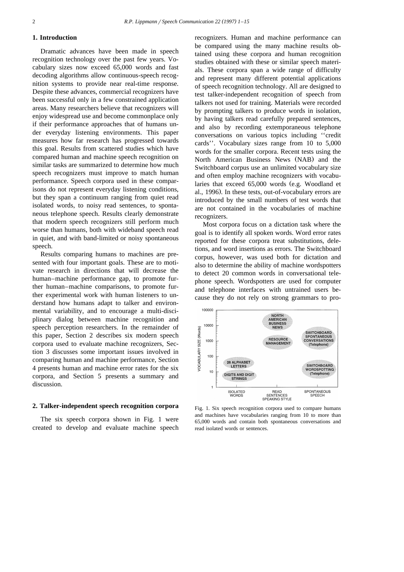# **1. Introduction**

Dramatic advances have been made in speech recognition technology over the past few years. Vocabulary sizes now exceed 65,000 words and fast decoding algorithms allow continuous-speech recognition systems to provide near real-time response. Despite these advances, commercial recognizers have been successful only in a few constrained application areas. Many researchers believe that recognizers will enjoy widespread use and become commonplace only if their performance approaches that of humans under everyday listening environments. This paper measures how far research has progressed towards this goal. Results from scattered studies which have compared human and machine speech recognition on similar tasks are summarized to determine how much speech recognizers must improve to match human performance. Speech corpora used in these comparisons do not represent everyday listening conditions, but they span a continuum ranging from quiet read isolated words, to noisy read sentences, to spontaneous telephone speech. Results clearly demonstrate that modern speech recognizers still perform much worse than humans, both with wideband speech read in quiet, and with band-limited or noisy spontaneous speech.

Results comparing humans to machines are presented with four important goals. These are to motivate research in directions that will decrease the human–machine performance gap, to promote further human–machine comparisons, to promote further experimental work with human listeners to understand how humans adapt to talker and environmental variability, and to encourage a multi-disciplinary dialog between machine recognition and speech perception researchers. In the remainder of this paper, Section 2 describes six modern speech corpora used to evaluate machine recognizers, Section 3 discusses some important issues involved in comparing human and machine performance, Section 4 presents human and machine error rates for the six corpora, and Section 5 presents a summary and discussion.

# **2. Talker-independent speech recognition corpora**

The six speech corpora shown in Fig. 1 were created to develop and evaluate machine speech

recognizers. Human and machine performance can be compared using the many machine results obtained using these corpora and human recognition studies obtained with these or similar speech materials. These corpora span a wide range of difficulty and represent many different potential applications of speech recognition technology. All are designed to test talker-independent recognition of speech from talkers not used for training. Materials were recorded by prompting talkers to produce words in isolation, by having talkers read carefully prepared sentences, and also by recording extemporaneous telephone conversations on various topics including ''credit cards''. Vocabulary sizes range from 10 to 5,000 words for the smaller corpora. Recent tests using the North American Business News (NAB) and the Switchboard corpus use an unlimited vocabulary size and often employ machine recognizers with vocabularies that exceed  $65,000$  words (e.g. Woodland et al., 1996). In these tests, out-of-vocabulary errors are introduced by the small numbers of test words that are not contained in the vocabularies of machine recognizers.

Most corpora focus on a dictation task where the goal is to identify all spoken words. Word error rates reported for these corpora treat substitutions, deletions, and word insertions as errors. The Switchboard corpus, however, was used both for dictation and also to determine the ability of machine wordspotters to detect 20 common words in conversational telephone speech. Wordspotters are used for computer and telephone interfaces with untrained users because they do not rely on strong grammars to pro-



Fig. 1. Six speech recognition corpora used to compare humans and machines have vocabularies ranging from 10 to more than 65,000 words and contain both spontaneous conversations and read isolated words or sentences.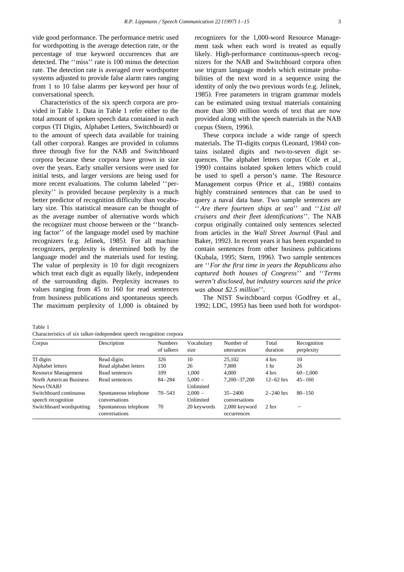vide good performance. The performance metric used for wordspotting is the average detection rate, or the percentage of true keyword occurrences that are detected. The ''miss'' rate is 100 minus the detection rate. The detection rate is averaged over wordspotter systems adjusted to provide false alarm rates ranging from 1 to 10 false alarms per keyword per hour of conversational speech.

Characteristics of the six speech corpora are provided in Table 1. Data in Table 1 refer either to the total amount of spoken speech data contained in each corpus (TI Digits, Alphabet Letters, Switchboard) or to the amount of speech data available for training (all other corpora). Ranges are provided in columns three through five for the NAB and Switchboard corpora because these corpora have grown in size over the years. Early smaller versions were used for initial tests, and larger versions are being used for more recent evaluations. The column labeled ''perplexity'' is provided because perplexity is a much better predictor of recognition difficulty than vocabulary size. This statistical measure can be thought of as the average number of alternative words which the recognizer must choose between or the ''branching factor'' of the language model used by machine recognizers (e.g. Jelinek, 1985). For all machine recognizers, perplexity is determined both by the language model and the materials used for testing. The value of perplexity is 10 for digit recognizers which treat each digit as equally likely, independent of the surrounding digits. Perplexity increases to values ranging from 45 to 160 for read sentences from business publications and spontaneous speech. The maximum perplexity of 1,000 is obtained by recognizers for the 1,000-word Resource Management task when each word is treated as equally likely. High-performance continuous-speech recognizers for the NAB and Switchboard corpora often use trigram language models which estimate probabilities of the next word in a sequence using the identity of only the two previous words (e.g. Jelinek, 1985). Free parameters in trigram grammar models can be estimated using textual materials containing more than 300 million words of text that are now provided along with the speech materials in the NAB corpus (Stern, 1996).

These corpora include a wide range of speech materials. The TI-digits corpus (Leonard, 1984) contains isolated digits and two-to-seven digit sequences. The alphabet letters corpus (Cole et al., 1990) contains isolated spoken letters which could be used to spell a person's name. The Resource Management corpus (Price et al., 1988) contains highly constrained sentences that can be used to query a naval data base. Two sample sentences are '' *Are there fourteen ships at sea*'' and ''*List all cruisers and their fleet identifications*''. The NAB corpus originally contained only sentences selected from articles in the *Wall Street Journal* (Paul and Baker, 1992). In recent years it has been expanded to contain sentences from other business publications (Kubala, 1995; Stern, 1996). Two sample sentences are ''*For the first time in years the Republicans also captured both houses of Congress*'' and ''*Terms weren't disclosed, but industry sources said the price was about \$2.5 million*''.

The NIST Switchboard corpus (Godfrey et al., 1992; LDC, 1995) has been used both for wordspot-

Table 1

Characteristics of six talker-independent speech recognition corpora

| Corpus                                       | Description                            | <b>Numbers</b><br>of talkers | Vocabulary<br>size     | Number of<br>utterances      | Total<br>duration | Recognition<br>perplexity |
|----------------------------------------------|----------------------------------------|------------------------------|------------------------|------------------------------|-------------------|---------------------------|
| TI digits                                    | Read digits                            | 326                          | 10                     | 25,102                       | 4 hrs             | 10                        |
| Alphabet letters                             | Read alphabet letters                  | 150                          | 26                     | 7.800                        | 1 hr              | 26                        |
| <b>Resource Management</b>                   | Read sentences                         | 109                          | 1.000                  | 4.000                        | 4 hrs             | $60 - 1,000$              |
| North American Business<br>News (NAB)        | Read sentences                         | $84 - 284$                   | $5.000 -$<br>Unlimited | 7,200-37,200                 | $12 - 62$ hrs     | $45 - 160$                |
| Switchboard continuous<br>speech recognition | Spontaneous telephone<br>conversations | $70 - 543$                   | $2.000 -$<br>Unlimited | $35 - 2400$<br>conversations | $2 - 240$ hrs     | $80 - 150$                |
| Switchboard wordspotting                     | Spontaneous telephone<br>conversations | 70                           | 20 keywords            | 2,000 keyword<br>occurrences | 2 hrs             |                           |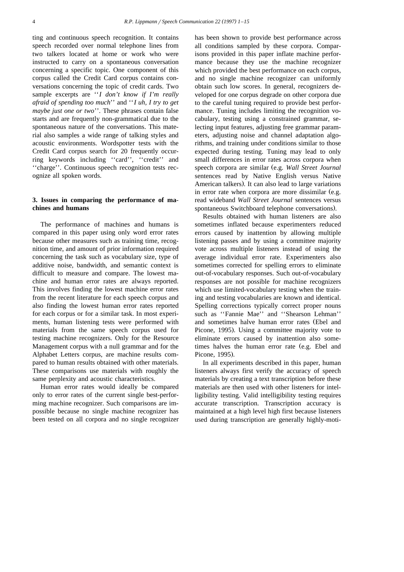ting and continuous speech recognition. It contains speech recorded over normal telephone lines from two talkers located at home or work who were instructed to carry on a spontaneous conversation concerning a specific topic. One component of this corpus called the Credit Card corpus contains conversations concerning the topic of credit cards. Two sample excerpts are ''*I don't know if I'm really afraid of spending too much*'' and ''*I uh, I try to get maybe just one or two*''. These phrases contain false starts and are frequently non-grammatical due to the spontaneous nature of the conversations. This material also samples a wide range of talking styles and acoustic environments. Wordspotter tests with the Credit Card corpus search for 20 frequently occurring keywords including ''card'', ''credit'' and ''charge''. Continuous speech recognition tests recognize all spoken words.

# **3. Issues in comparing the performance of machines and humans**

The performance of machines and humans is compared in this paper using only word error rates because other measures such as training time, recognition time, and amount of prior information required concerning the task such as vocabulary size, type of additive noise, bandwidth, and semantic context is difficult to measure and compare. The lowest machine and human error rates are always reported. This involves finding the lowest machine error rates from the recent literature for each speech corpus and also finding the lowest human error rates reported for each corpus or for a similar task. In most experiments, human listening tests were performed with materials from the same speech corpus used for testing machine recognizers. Only for the Resource Management corpus with a null grammar and for the Alphabet Letters corpus, are machine results compared to human results obtained with other materials. These comparisons use materials with roughly the same perplexity and acoustic characteristics.

Human error rates would ideally be compared only to error rates of the current single best-performing machine recognizer. Such comparisons are impossible because no single machine recognizer has been tested on all corpora and no single recognizer

has been shown to provide best performance across all conditions sampled by these corpora. Comparisons provided in this paper inflate machine performance because they use the machine recognizer which provided the best performance on each corpus, and no single machine recognizer can uniformly obtain such low scores. In general, recognizers developed for one corpus degrade on other corpora due to the careful tuning required to provide best performance. Tuning includes limiting the recognition vocabulary, testing using a constrained grammar, selecting input features, adjusting free grammar parameters, adjusting noise and channel adaptation algorithms, and training under conditions similar to those expected during testing. Tuning may lead to only small differences in error rates across corpora when speech corpora are similar (e.g. *Wall Street Journal* sentences read by Native English versus Native American talkers). It can also lead to large variations in error rate when corpora are more dissimilar (e.g. read wideband *Wall Street Journal* sentences versus spontaneous Switchboard telephone conversations).

Results obtained with human listeners are also sometimes inflated because experimenters reduced errors caused by inattention by allowing multiple listening passes and by using a committee majority vote across multiple listeners instead of using the average individual error rate. Experimenters also sometimes corrected for spelling errors to eliminate out-of-vocabulary responses. Such out-of-vocabulary responses are not possible for machine recognizers which use limited-vocabulary testing when the training and testing vocabularies are known and identical. Spelling corrections typically correct proper nouns such as ''Fannie Mae'' and ''Shearson Lehman'' and sometimes halve human error rates (Ebel and Picone, 1995). Using a committee majority vote to eliminate errors caused by inattention also sometimes halves the human error rate (e.g. Ebel and Picone, 1995).

In all experiments described in this paper, human listeners always first verify the accuracy of speech materials by creating a text transcription before these materials are then used with other listeners for intelligibility testing. Valid intelligibility testing requires accurate transcription. Transcription accuracy is maintained at a high level high first because listeners used during transcription are generally highly-moti-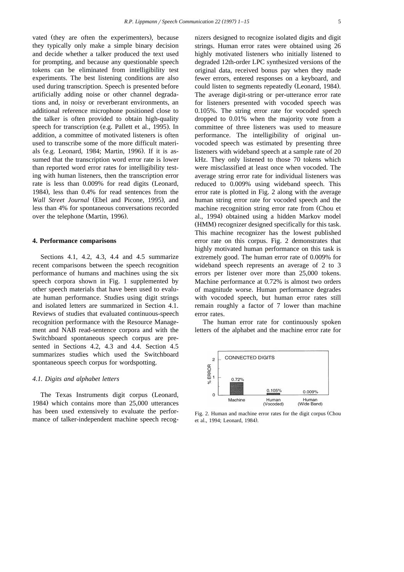vated (they are often the experimenters), because they typically only make a simple binary decision and decide whether a talker produced the text used for prompting, and because any questionable speech tokens can be eliminated from intelligibility test experiments. The best listening conditions are also used during transcription. Speech is presented before artificially adding noise or other channel degradations and, in noisy or reverberant environments, an additional reference microphone positioned close to the talker is often provided to obtain high-quality speech for transcription (e.g. Pallett et al., 1995). In addition, a committee of motivated listeners is often used to transcribe some of the more difficult materials (e.g. Leonard, 1984; Martin, 1996). If it is assumed that the transcription word error rate is lower than reported word error rates for intelligibility testing with human listeners, then the transcription error rate is less than 0.009% for read digits (Leonard, 1984), less than 0.4% for read sentences from the *Wall Street Journal* (Ebel and Picone, 1995), and less than 4% for spontaneous conversations recorded over the telephone (Martin, 1996).

## **4. Performance comparisons**

Sections 4.1, 4.2, 4.3, 4.4 and 4.5 summarize recent comparisons between the speech recognition performance of humans and machines using the six speech corpora shown in Fig. 1 supplemented by other speech materials that have been used to evaluate human performance. Studies using digit strings and isolated letters are summarized in Section 4.1. Reviews of studies that evaluated continuous-speech recognition performance with the Resource Management and NAB read-sentence corpora and with the Switchboard spontaneous speech corpus are presented in Sections 4.2, 4.3 and 4.4. Section 4.5 summarizes studies which used the Switchboard spontaneous speech corpus for wordspotting.

## *4.1. Digits and alphabet letters*

The Texas Instruments digit corpus (Leonard, 1984) which contains more than 25,000 utterances has been used extensively to evaluate the performance of talker-independent machine speech recog-

nizers designed to recognize isolated digits and digit strings. Human error rates were obtained using 26 highly motivated listeners who initially listened to degraded 12th-order LPC synthesized versions of the original data, received bonus pay when they made fewer errors, entered responses on a keyboard, and could listen to segments repeatedly (Leonard, 1984). The average digit-string or per-utterance error rate for listeners presented with vocoded speech was 0.105%. The string error rate for vocoded speech dropped to 0.01% when the majority vote from a committee of three listeners was used to measure performance. The intelligibility of original unvocoded speech was estimated by presenting three listeners with wideband speech at a sample rate of 20 kHz. They only listened to those 70 tokens which were misclassified at least once when vocoded. The average string error rate for individual listeners was reduced to 0.009% using wideband speech. This error rate is plotted in Fig. 2 along with the average human string error rate for vocoded speech and the machine recognition string error rate from (Chou et al., 1994) obtained using a hidden Markov model (HMM) recognizer designed specifically for this task. This machine recognizer has the lowest published error rate on this corpus. Fig. 2 demonstrates that highly motivated human performance on this task is extremely good. The human error rate of 0.009% for wideband speech represents an average of 2 to 3 errors per listener over more than 25,000 tokens. Machine performance at 0.72% is almost two orders of magnitude worse. Human performance degrades with vocoded speech, but human error rates still remain roughly a factor of 7 lower than machine error rates.

The human error rate for continuously spoken letters of the alphabet and the machine error rate for



Fig. 2. Human and machine error rates for the digit corpus (Chou et al., 1994; Leonard, 1984).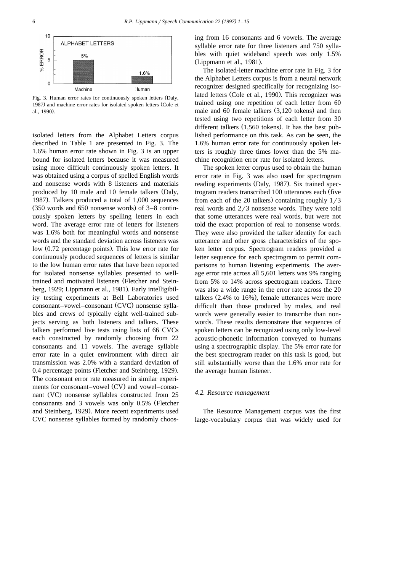

Fig. 3. Human error rates for continuously spoken letters (Daly, 1987) and machine error rates for isolated spoken letters (Cole et al., 1990).

isolated letters from the Alphabet Letters corpus described in Table 1 are presented in Fig. 3. The 1.6% human error rate shown in Fig. 3 is an upper bound for isolated letters because it was measured using more difficult continuously spoken letters. It was obtained using a corpus of spelled English words and nonsense words with 8 listeners and materials produced by 10 male and 10 female talkers (Daly, 1987). Talkers produced a total of 1,000 sequences  $(350 \text{ words and } 650 \text{ nonsense words})$  of  $3-8 \text{ contin}$ uously spoken letters by spelling letters in each word. The average error rate of letters for listeners was 1.6% both for meaningful words and nonsense words and the standard deviation across listeners was low  $(0.72$  percentage points). This low error rate for continuously produced sequences of letters is similar to the low human error rates that have been reported for isolated nonsense syllables presented to welltrained and motivated listeners (Fletcher and Steinberg, 1929; Lippmann et al., 1981). Early intelligibility testing experiments at Bell Laboratories used consonant–vowel–consonant (CVC) nonsense syllables and crews of typically eight well-trained subjects serving as both listeners and talkers. These talkers performed live tests using lists of 66 CVCs each constructed by randomly choosing from 22 consonants and 11 vowels. The average syllable error rate in a quiet environment with direct air transmission was 2.0% with a standard deviation of 0.4 percentage points (Fletcher and Steinberg, 1929). The consonant error rate measured in similar experiments for consonant–vowel  $(CV)$  and vowel–consonant (VC) nonsense syllables constructed from 25 consonants and 3 vowels was only  $0.5\%$  (Fletcher and Steinberg, 1929). More recent experiments used CVC nonsense syllables formed by randomly choos-

ing from 16 consonants and 6 vowels. The average syllable error rate for three listeners and 750 syllables with quiet wideband speech was only 1.5%  $(Lippmann et al., 1981)$ .

The isolated-letter machine error rate in Fig. 3 for the Alphabet Letters corpus is from a neural network recognizer designed specifically for recognizing isolated letters (Cole et al., 1990). This recognizer was trained using one repetition of each letter from 60 male and  $60$  female talkers  $(3,120)$  tokens) and then tested using two repetitions of each letter from 30 different talkers  $(1,560$  tokens). It has the best published performance on this task. As can be seen, the 1.6% human error rate for continuously spoken letters is roughly three times lower than the 5% machine recognition error rate for isolated letters.

The spoken letter corpus used to obtain the human error rate in Fig. 3 was also used for spectrogram reading experiments (Daly, 1987). Six trained spectrogram readers transcribed 100 utterances each (five from each of the 20 talkers) containing roughly  $1/3$ real words and  $2/3$  nonsense words. They were told that some utterances were real words, but were not told the exact proportion of real to nonsense words. They were also provided the talker identity for each utterance and other gross characteristics of the spoken letter corpus. Spectrogram readers provided a letter sequence for each spectrogram to permit comparisons to human listening experiments. The average error rate across all 5,601 letters was 9% ranging from 5% to 14% across spectrogram readers. There was also a wide range in the error rate across the 20 talkers  $(2.4\%$  to  $16\%)$ , female utterances were more difficult than those produced by males, and real words were generally easier to transcribe than nonwords. These results demonstrate that sequences of spoken letters can be recognized using only low-level acoustic-phonetic information conveyed to humans using a spectrographic display. The 5% error rate for the best spectrogram reader on this task is good, but still substantially worse than the 1.6% error rate for the average human listener.

#### *4.2. Resource management*

The Resource Management corpus was the first large-vocabulary corpus that was widely used for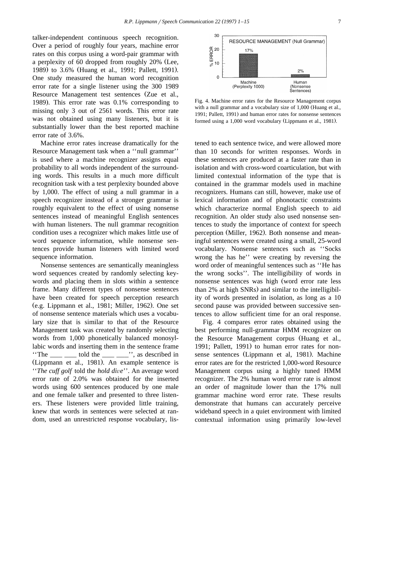talker-independent continuous speech recognition. Over a period of roughly four years, machine error rates on this corpus using a word-pair grammar with a perplexity of 60 dropped from roughly 20% (Lee, 1989) to 3.6% (Huang et al., 1991; Pallett, 1991). One study measured the human word recognition error rate for a single listener using the 300 1989 Resource Management test sentences (Zue et al., 1989). This error rate was  $0.1\%$  corresponding to missing only 3 out of 2561 words. This error rate was not obtained using many listeners, but it is substantially lower than the best reported machine error rate of 3.6%.

Machine error rates increase dramatically for the Resource Management task when a ''null grammar'' is used where a machine recognizer assigns equal probability to all words independent of the surrounding words. This results in a much more difficult recognition task with a test perplexity bounded above by 1,000. The effect of using a null grammar in a speech recognizer instead of a stronger grammar is roughly equivalent to the effect of using nonsense sentences instead of meaningful English sentences with human listeners. The null grammar recognition condition uses a recognizer which makes little use of word sequence information, while nonsense sentences provide human listeners with limited word sequence information.

Nonsense sentences are semantically meaningless word sequences created by randomly selecting keywords and placing them in slots within a sentence frame. Many different types of nonsense sentences have been created for speech perception research  $(e.g. Lippmann et al., 1981; Miller, 1962)$ . One set of nonsense sentence materials which uses a vocabulary size that is similar to that of the Resource Management task was created by randomly selecting words from 1,000 phonetically balanced monosyllabic words and inserting them in the sentence frame "The told the "', as described in (Lippmann et al., 1981). An example sentence is "The cuff golf told the *hold dive*". An average word error rate of 2.0% was obtained for the inserted words using 600 sentences produced by one male and one female talker and presented to three listeners. These listeners were provided little training, knew that words in sentences were selected at random, used an unrestricted response vocabulary, lis-



Fig. 4. Machine error rates for the Resource Management corpus with a null grammar and a vocabulary size of 1,000 (Huang et al., 1991; Pallett, 1991) and human error rates for nonsense sentences formed using a 1,000 word vocabulary (Lippmann et al., 1981).

tened to each sentence twice, and were allowed more than 10 seconds for written responses. Words in these sentences are produced at a faster rate than in isolation and with cross-word coarticulation, but with limited contextual information of the type that is contained in the grammar models used in machine recognizers. Humans can still, however, make use of lexical information and of phonotactic constraints which characterize normal English speech to aid recognition. An older study also used nonsense sentences to study the importance of context for speech perception (Miller, 1962). Both nonsense and meaningful sentences were created using a small, 25-word vocabulary. Nonsense sentences such as ''Socks wrong the has he'' were creating by reversing the word order of meaningful sentences such as ''He has the wrong socks''. The intelligibility of words in nonsense sentences was high (word error rate less than  $2\%$  at high SNRs) and similar to the intelligibility of words presented in isolation, as long as a 10 second pause was provided between successive sentences to allow sufficient time for an oral response.

Fig. 4 compares error rates obtained using the best performing null-grammar HMM recognizer on the Resource Management corpus (Huang et al., 1991; Pallett, 1991) to human error rates for nonsense sentences (Lippmann et al, 1981). Machine error rates are for the restricted 1,000-word Resource Management corpus using a highly tuned HMM recognizer. The 2% human word error rate is almost an order of magnitude lower than the 17% null grammar machine word error rate. These results demonstrate that humans can accurately perceive wideband speech in a quiet environment with limited contextual information using primarily low-level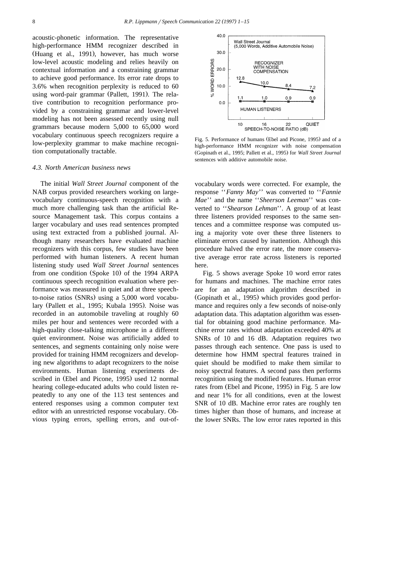acoustic-phonetic information. The representative high-performance HMM recognizer described in (Huang et al., 1991), however, has much worse low-level acoustic modeling and relies heavily on contextual information and a constraining grammar to achieve good performance. Its error rate drops to 3.6% when recognition perplexity is reduced to 60 using word-pair grammar (Pallett, 1991). The relative contribution to recognition performance provided by a constraining grammar and lower-level modeling has not been assessed recently using null grammars because modern 5,000 to 65,000 word vocabulary continuous speech recognizers require a low-perplexity grammar to make machine recognition computationally tractable.

## *4.3. North American business news*

The initial *Wall Street Journal* component of the NAB corpus provided researchers working on largevocabulary continuous-speech recognition with a much more challenging task than the artificial Resource Management task. This corpus contains a larger vocabulary and uses read sentences prompted using text extracted from a published journal. Although many researchers have evaluated machine recognizers with this corpus, few studies have been performed with human listeners. A recent human listening study used *Wall Street Journal* sentences from one condition (Spoke 10) of the  $1994$  ARPA continuous speech recognition evaluation where performance was measured in quiet and at three speechto-noise ratios  $(SNRs)$  using a 5,000 word vocabulary (Pallett et al., 1995; Kubala 1995). Noise was recorded in an automobile traveling at roughly 60 miles per hour and sentences were recorded with a high-quality close-talking microphone in a different quiet environment. Noise was artificially added to sentences, and segments containing only noise were provided for training HMM recognizers and developing new algorithms to adapt recognizers to the noise environments. Human listening experiments described in (Ebel and Picone, 1995) used 12 normal hearing college-educated adults who could listen repeatedly to any one of the 113 test sentences and entered responses using a common computer text editor with an unrestricted response vocabulary. Obvious typing errors, spelling errors, and out-of-



Fig. 5. Performance of humans (Ebel and Picone, 1995) and of a high-performance HMM recognizer with noise compensation Ž . Gopinath et al., 1995; Pallett et al., 1995 for *Wall Street Journal* sentences with additive automobile noise.

vocabulary words were corrected. For example, the response ''*Fanny May*'' was converted to ''*Fannie Mae*'' and the name ''*Sheerson Leeman*'' was converted to ''*Shearson Lehman*''. A group of at least three listeners provided responses to the same sentences and a committee response was computed using a majority vote over these three listeners to eliminate errors caused by inattention. Although this procedure halved the error rate, the more conservative average error rate across listeners is reported here.

Fig. 5 shows average Spoke 10 word error rates for humans and machines. The machine error rates are for an adaptation algorithm described in (Gopinath et al., 1995) which provides good performance and requires only a few seconds of noise-only adaptation data. This adaptation algorithm was essential for obtaining good machine performance. Machine error rates without adaptation exceeded 40% at SNRs of 10 and 16 dB. Adaptation requires two passes through each sentence. One pass is used to determine how HMM spectral features trained in quiet should be modified to make them similar to noisy spectral features. A second pass then performs recognition using the modified features. Human error rates from (Ebel and Picone, 1995) in Fig. 5 are low and near 1% for all conditions, even at the lowest SNR of 10 dB. Machine error rates are roughly ten times higher than those of humans, and increase at the lower SNRs. The low error rates reported in this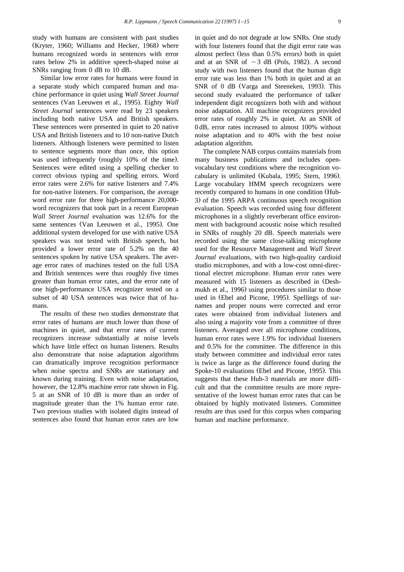study with humans are consistent with past studies (Kryter, 1960; Williams and Hecker, 1968) where humans recognized words in sentences with error rates below 2% in additive speech-shaped noise at SNRs ranging from 0 dB to 10 dB.

Similar low error rates for humans were found in a separate study which compared human and machine performance in quiet using *Wall Street Journal* sentences (Van Leeuwen et al., 1995). Eighty Wall *Street Journal* sentences were read by 23 speakers including both native USA and British speakers. These sentences were presented in quiet to 20 native USA and British listeners and to 10 non-native Dutch listeners. Although listeners were permitted to listen to sentence segments more than once, this option was used infrequently (roughly 10% of the time). Sentences were edited using a spelling checker to correct obvious typing and spelling errors. Word error rates were 2.6% for native listeners and 7.4% for non-native listeners. For comparison, the average word error rate for three high-performance 20,000 word recognizers that took part in a recent European *Wall Street Journal* evaluation was 12.6% for the same sentences (Van Leeuwen et al., 1995). One additional system developed for use with native USA speakers was not tested with British speech, but provided a lower error rate of 5.2% on the 40 sentences spoken by native USA speakers. The average error rates of machines tested on the full USA and British sentences were thus roughly five times greater than human error rates, and the error rate of one high-performance USA recognizer tested on a subset of 40 USA sentences was twice that of humans.

The results of these two studies demonstrate that error rates of humans are much lower than those of machines in quiet, and that error rates of current recognizers increase substantially at noise levels which have little effect on human listeners. Results also demonstrate that noise adaptation algorithms can dramatically improve recognition performance when noise spectra and SNRs are stationary and known during training. Even with noise adaptation, however, the 12.8% machine error rate shown in Fig. 5 at an SNR of 10 dB is more than an order of magnitude greater than the 1% human error rate. Two previous studies with isolated digits instead of sentences also found that human error rates are low

in quiet and do not degrade at low SNRs. One study with four listeners found that the digit error rate was almost perfect (less than 0.5% errors) both in quiet and at an SNR of  $-3$  dB (Pols, 1982). A second study with two listeners found that the human digit error rate was less than 1% both in quiet and at an SNR of 0 dB (Varga and Steeneken, 1993). This second study evaluated the performance of talker independent digit recognizers both with and without noise adaptation. All machine recognizers provided error rates of roughly 2% in quiet. At an SNR of 0 dB, error rates increased to almost 100% without noise adaptation and to 40% with the best noise adaptation algorithm.

The complete NAB corpus contains materials from many business publications and includes openvocabulary test conditions where the recognition vocabulary is unlimited (Kubala, 1995; Stern, 1996). Large vocabulary HMM speech recognizers were recently compared to humans in one condition (Hub-3) of the 1995 ARPA continuous speech recognition evaluation. Speech was recorded using four different microphones in a slightly reverberant office environment with background acoustic noise which resulted in SNRs of roughly 20 dB. Speech materials were recorded using the same close-talking microphone used for the Resource Management and *Wall Street Journal* evaluations, with two high-quality cardioid studio microphones, and with a low-cost omni-directional electret microphone. Human error rates were measured with 15 listeners as described in (Deshmukh et al., 1996) using procedures similar to those used in (Ebel and Picone, 1995). Spellings of surnames and proper nouns were corrected and error rates were obtained from individual listeners and also using a majority vote from a committee of three listeners. Averaged over all microphone conditions, human error rates were 1.9% for individual listeners and 0.5% for the committee. The difference in this study between committee and individual error rates is twice as large as the difference found during the Spoke-10 evaluations (Ebel and Picone, 1995). This suggests that these Hub-3 materials are more difficult and that the committee results are more representative of the lowest human error rates that can be obtained by highly motivated listeners. Committee results are thus used for this corpus when comparing human and machine performance.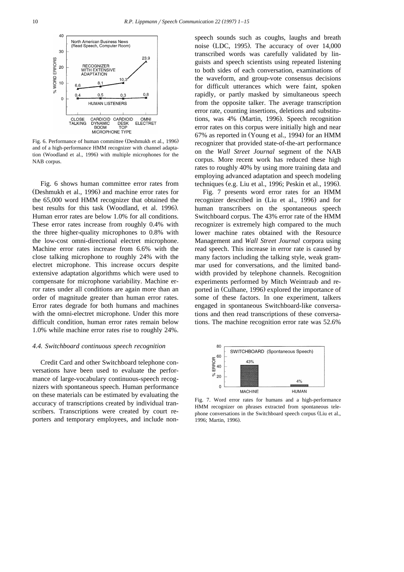

Fig. 6. Performance of human committee (Deshmukh et al., 1996) and of a high-performance HMM recognizer with channel adaptation (Woodland et al., 1996) with multiple microphones for the NAB corpus.

Fig. 6 shows human committee error rates from (Deshmukh et al., 1996) and machine error rates for the 65,000 word HMM recognizer that obtained the best results for this task (Woodland, et al. 1996). Human error rates are below 1.0% for all conditions. These error rates increase from roughly 0.4% with the three higher-quality microphones to 0.8% with the low-cost omni-directional electret microphone. Machine error rates increase from 6.6% with the close talking microphone to roughly 24% with the electret microphone. This increase occurs despite extensive adaptation algorithms which were used to compensate for microphone variability. Machine error rates under all conditions are again more than an order of magnitude greater than human error rates. Error rates degrade for both humans and machines with the omni-electret microphone. Under this more difficult condition, human error rates remain below 1.0% while machine error rates rise to roughly 24%.

## *4.4. Switchboard continuous speech recognition*

Credit Card and other Switchboard telephone conversations have been used to evaluate the performance of large-vocabulary continuous-speech recognizers with spontaneous speech. Human performance on these materials can be estimated by evaluating the accuracy of transcriptions created by individual transcribers. Transcriptions were created by court reporters and temporary employees, and include non-

speech sounds such as coughs, laughs and breath noise (LDC, 1995). The accuracy of over  $14,000$ transcribed words was carefully validated by linguists and speech scientists using repeated listening to both sides of each conversation, examinations of the waveform, and group-vote consensus decisions for difficult utterances which were faint, spoken rapidly, or partly masked by simultaneous speech from the opposite talker. The average transcription error rate, counting insertions, deletions and substitutions, was 4% (Martin, 1996). Speech recognition error rates on this corpus were initially high and near  $67\%$  as reported in (Young et al., 1994) for an HMM recognizer that provided state-of-the-art performance on the *Wall Street Journal* segment of the NAB corpus. More recent work has reduced these high rates to roughly 40% by using more training data and employing advanced adaptation and speech modeling techniques (e.g. Liu et al., 1996; Peskin et al., 1996).

Fig. 7 presents word error rates for an HMM recognizer described in (Liu et al., 1996) and for human transcribers on the spontaneous speech Switchboard corpus. The 43% error rate of the HMM recognizer is extremely high compared to the much lower machine rates obtained with the Resource Management and *Wall Street Journal* corpora using read speech. This increase in error rate is caused by many factors including the talking style, weak grammar used for conversations, and the limited bandwidth provided by telephone channels. Recognition experiments performed by Mitch Weintraub and reported in (Culhane, 1996) explored the importance of some of these factors. In one experiment, talkers engaged in spontaneous Switchboard-like conversations and then read transcriptions of these conversations. The machine recognition error rate was 52.6%



Fig. 7. Word error rates for humans and a high-performance HMM recognizer on phrases extracted from spontaneous telephone conversations in the Switchboard speech corpus (Liu et al., 1996; Martin, 1996).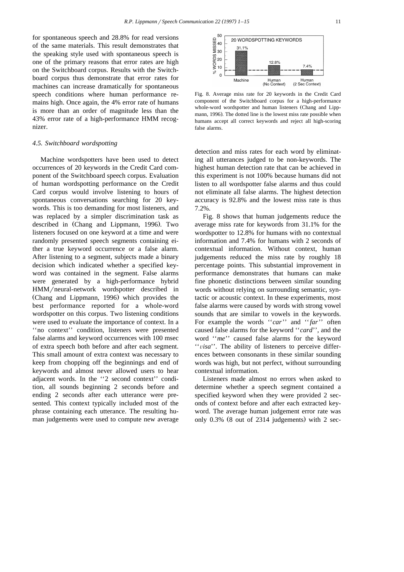for spontaneous speech and 28.8% for read versions of the same materials. This result demonstrates that the speaking style used with spontaneous speech is one of the primary reasons that error rates are high on the Switchboard corpus. Results with the Switchboard corpus thus demonstrate that error rates for machines can increase dramatically for spontaneous speech conditions where human performance remains high. Once again, the 4% error rate of humans is more than an order of magnitude less than the 43% error rate of a high-performance HMM recognizer.

## *4.5. Switchboard wordspotting*

Machine wordspotters have been used to detect occurrences of 20 keywords in the Credit Card component of the Switchboard speech corpus. Evaluation of human wordspotting performance on the Credit Card corpus would involve listening to hours of spontaneous conversations searching for 20 keywords. This is too demanding for most listeners, and was replaced by a simpler discrimination task as described in (Chang and Lippmann, 1996). Two listeners focused on one keyword at a time and were randomly presented speech segments containing either a true keyword occurrence or a false alarm. After listening to a segment, subjects made a binary decision which indicated whether a specified keyword was contained in the segment. False alarms were generated by a high-performance hybrid HMM/neural-network wordspotter described in (Chang and Lippmann, 1996) which provides the best performance reported for a whole-word wordspotter on this corpus. Two listening conditions were used to evaluate the importance of context. In a ''no context'' condition, listeners were presented false alarms and keyword occurrences with 100 msec of extra speech both before and after each segment. This small amount of extra context was necessary to keep from chopping off the beginnings and end of keywords and almost never allowed users to hear adjacent words. In the ''2 second context'' condition, all sounds beginning 2 seconds before and ending 2 seconds after each utterance were presented. This context typically included most of the phrase containing each utterance. The resulting human judgements were used to compute new average



Fig. 8. Average miss rate for 20 keywords in the Credit Card component of the Switchboard corpus for a high-performance whole-word wordspotter and human listeners (Chang and Lippmann, 1996). The dotted line is the lowest miss rate possible when humans accept all correct keywords and reject all high-scoring false alarms.

detection and miss rates for each word by eliminating all utterances judged to be non-keywords. The highest human detection rate that can be achieved in this experiment is not 100% because humans did not listen to all wordspotter false alarms and thus could not eliminate all false alarms. The highest detection accuracy is 92.8% and the lowest miss rate is thus 7.2%.

Fig. 8 shows that human judgements reduce the average miss rate for keywords from 31.1% for the wordspotter to 12.8% for humans with no contextual information and 7.4% for humans with 2 seconds of contextual information. Without context, human judgements reduced the miss rate by roughly 18 percentage points. This substantial improvement in performance demonstrates that humans can make fine phonetic distinctions between similar sounding words without relying on surrounding semantic, syntactic or acoustic context. In these experiments, most false alarms were caused by words with strong vowel sounds that are similar to vowels in the keywords. For example the words ''*car*'' and ''*far*'' often caused false alarms for the keyword ''*card*'', and the word ''*me*'' caused false alarms for the keyword "visa". The ability of listeners to perceive differences between consonants in these similar sounding words was high, but not perfect, without surrounding contextual information.

Listeners made almost no errors when asked to determine whether a speech segment contained a specified keyword when they were provided 2 seconds of context before and after each extracted keyword. The average human judgement error rate was only  $0.3\%$  (8 out of 2314 judgements) with 2 sec-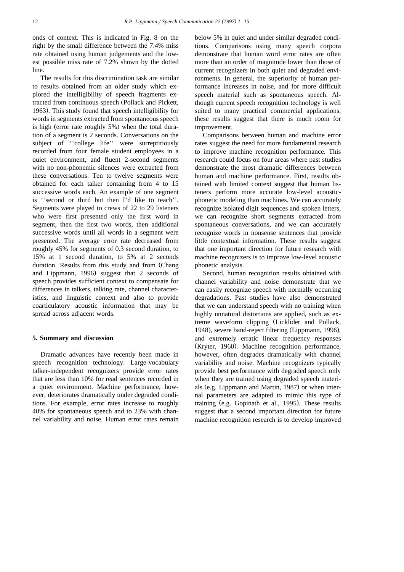onds of context. This is indicated in Fig. 8 on the right by the small difference between the 7.4% miss rate obtained using human judgements and the lowest possible miss rate of 7.2% shown by the dotted line.

The results for this discrimination task are similar to results obtained from an older study which explored the intelligibility of speech fragments extracted from continuous speech (Pollack and Pickett, 1963). This study found that speech intelligibility for words in segments extracted from spontaneous speech is high (error rate roughly 5%) when the total duration of a segment is 2 seconds. Conversations on the subject of ''college life'' were surreptitiously recorded from four female student employees in a quiet environment, and fluent 2-second segments with no non-phonemic silences were extracted from these conversations. Ten to twelve segments were obtained for each talker containing from 4 to 15 successive words each. An example of one segment is ''second or third but then I'd like to teach''. Segments were played to crews of 22 to 29 listeners who were first presented only the first word in segment, then the first two words, then additional successive words until all words in a segment were presented. The average error rate decreased from roughly 45% for segments of 0.3 second duration, to 15% at 1 second duration, to 5% at 2 seconds duration. Results from this study and from (Chang and Lippmann, 1996) suggest that 2 seconds of speech provides sufficient context to compensate for differences in talkers, talking rate, channel characteristics, and linguistic context and also to provide coarticulatory acoustic information that may be spread across adjacent words.

# **5. Summary and discussion**

Dramatic advances have recently been made in speech recognition technology. Large-vocabulary talker-independent recognizers provide error rates that are less than 10% for read sentences recorded in a quiet environment. Machine performance, however, deteriorates dramatically under degraded conditions. For example, error rates increase to roughly 40% for spontaneous speech and to 23% with channel variability and noise. Human error rates remain below 5% in quiet and under similar degraded conditions. Comparisons using many speech corpora demonstrate that human word error rates are often more than an order of magnitude lower than those of current recognizers in both quiet and degraded environments. In general, the superiority of human performance increases in noise, and for more difficult speech material such as spontaneous speech. Although current speech recognition technology is well suited to many practical commercial applications, these results suggest that there is much room for improvement.

Comparisons between human and machine error rates suggest the need for more fundamental research to improve machine recognition performance. This research could focus on four areas where past studies demonstrate the most dramatic differences between human and machine performance. First, results obtained with limited context suggest that human listeners perform more accurate low-level acousticphonetic modeling than machines. We can accurately recognize isolated digit sequences and spoken letters, we can recognize short segments extracted from spontaneous conversations, and we can accurately recognize words in nonsense sentences that provide little contextual information. These results suggest that one important direction for future research with machine recognizers is to improve low-level acoustic phonetic analysis.

Second, human recognition results obtained with channel variability and noise demonstrate that we can easily recognize speech with normally occurring degradations. Past studies have also demonstrated that we can understand speech with no training when highly unnatural distortions are applied, such as extreme waveform clipping (Licklider and Pollack, 1948), severe band-reject filtering (Lippmann, 1996), and extremely erratic linear frequency responses (Kryter, 1960). Machine recognition performance, however, often degrades dramatically with channel variability and noise. Machine recognizers typically provide best performance with degraded speech only when they are trained using degraded speech materials (e.g. Lippmann and Martin,  $1987$ ) or when internal parameters are adapted to mimic this type of training (e.g. Gopinath et al., 1995). These results suggest that a second important direction for future machine recognition research is to develop improved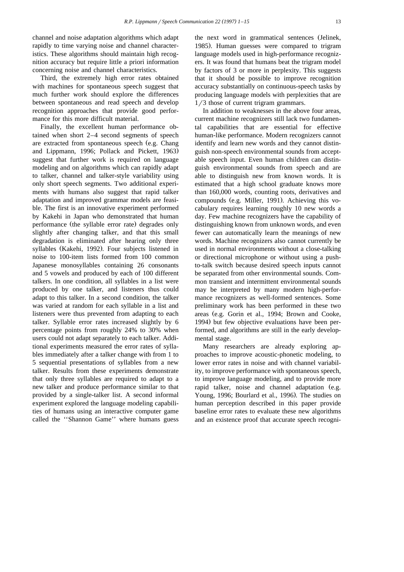channel and noise adaptation algorithms which adapt rapidly to time varying noise and channel characteristics. These algorithms should maintain high recognition accuracy but require little a priori information concerning noise and channel characteristics.

Third, the extremely high error rates obtained with machines for spontaneous speech suggest that much further work should explore the differences between spontaneous and read speech and develop recognition approaches that provide good performance for this more difficult material.

Finally, the excellent human performance obtained when short 2–4 second segments of speech are extracted from spontaneous speech (e.g. Chang and Lippmann, 1996; Pollack and Pickett, 1963. suggest that further work is required on language modeling and on algorithms which can rapidly adapt to talker, channel and talker-style variability using only short speech segments. Two additional experiments with humans also suggest that rapid talker adaptation and improved grammar models are feasible. The first is an innovative experiment performed by Kakehi in Japan who demonstrated that human performance (the syllable error rate) degrades only slightly after changing talker, and that this small degradation is eliminated after hearing only three syllables (Kakehi, 1992). Four subjects listened in noise to 100-item lists formed from 100 common Japanese monosyllables containing 26 consonants and 5 vowels and produced by each of 100 different talkers. In one condition, all syllables in a list were produced by one talker, and listeners thus could adapt to this talker. In a second condition, the talker was varied at random for each syllable in a list and listeners were thus prevented from adapting to each talker. Syllable error rates increased slightly by 6 percentage points from roughly 24% to 30% when users could not adapt separately to each talker. Additional experiments measured the error rates of syllables immediately after a talker change with from 1 to 5 sequential presentations of syllables from a new talker. Results from these experiments demonstrate that only three syllables are required to adapt to a new talker and produce performance similar to that provided by a single-talker list. A second informal experiment explored the language modeling capabilities of humans using an interactive computer game called the ''Shannon Game'' where humans guess

the next word in grammatical sentences (Jelinek, 1985). Human guesses were compared to trigram language models used in high-performance recognizers. It was found that humans beat the trigram model by factors of 3 or more in perplexity. This suggests that it should be possible to improve recognition accuracy substantially on continuous-speech tasks by producing language models with perplexities that are  $1/3$  those of current trigram grammars.

In addition to weaknesses in the above four areas, current machine recognizers still lack two fundamental capabilities that are essential for effective human-like performance. Modern recognizers cannot identify and learn new words and they cannot distinguish non-speech environmental sounds from acceptable speech input. Even human children can distinguish environmental sounds from speech and are able to distinguish new from known words. It is estimated that a high school graduate knows more than 160,000 words, counting roots, derivatives and compounds (e.g. Miller, 1991). Achieving this vocabulary requires learning roughly 10 new words a day. Few machine recognizers have the capability of distinguishing known from unknown words, and even fewer can automatically learn the meanings of new words. Machine recognizers also cannot currently be used in normal environments without a close-talking or directional microphone or without using a pushto-talk switch because desired speech inputs cannot be separated from other environmental sounds. Common transient and intermittent environmental sounds may be interpreted by many modern high-performance recognizers as well-formed sentences. Some preliminary work has been performed in these two areas (e.g. Gorin et al., 1994; Brown and Cooke, 1994) but few objective evaluations have been performed, and algorithms are still in the early developmental stage.

Many researchers are already exploring approaches to improve acoustic-phonetic modeling, to lower error rates in noise and with channel variability, to improve performance with spontaneous speech, to improve language modeling, and to provide more rapid talker, noise and channel adaptation (e.g. Young, 1996; Bourlard et al., 1996). The studies on human perception described in this paper provide baseline error rates to evaluate these new algorithms and an existence proof that accurate speech recogni-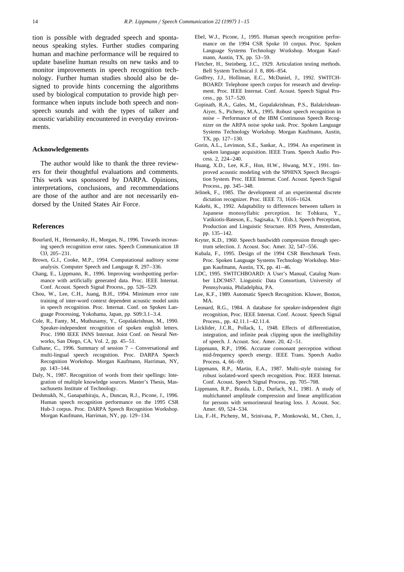tion is possible with degraded speech and spontaneous speaking styles. Further studies comparing human and machine performance will be required to update baseline human results on new tasks and to monitor improvements in speech recognition technology. Further human studies should also be designed to provide hints concerning the algorithms used by biological computation to provide high performance when inputs include both speech and nonspeech sounds and with the types of talker and acoustic variability encountered in everyday environments.

## **Acknowledgements**

The author would like to thank the three reviewers for their thoughtful evaluations and comments. This work was sponsored by DARPA. Opinions, interpretations, conclusions, and recommendations are those of the author and are not necessarily endorsed by the United States Air Force.

#### **References**

- Bourlard, H., Hermansky, H., Morgan, N., 1996. Towards increasing speech recognition error rates. Speech Communication 18  $(3)$ ,  $205-231$ .
- Brown, G.J., Cooke, M.P., 1994. Computational auditory scene analysis. Computer Speech and Language 8, 297–336.
- Chang, E., Lippmann, R., 1996. Improving wordspotting performance with artificially generated data. Proc. IEEE Internat. Conf. Acoust. Speech Signal Process., pp. 526–529.
- Chou, W., Lee, C.H., Juang, B.H., 1994. Minimum error rate training of inter-word context dependent acoustic model units in speech recognition. Proc. Internat. Conf. on Spoken Language Processing, Yokohama, Japan, pp. S09:3.1–3.4.
- Cole, R., Fanty, M., Muthusamy, Y., Gopalakrishnan, M., 1990. Speaker-independent recognition of spoken english letters. Proc. 1990 IEEE INNS Internat. Joint Conf. on Neural Networks, San Diego, CA, Vol. 2, pp. 45–51.
- Culhane, C., 1996. Summary of session 7 Conversational and multi-lingual speech recognition. Proc. DARPA Speech Recognition Workshop. Morgan Kaufmann, Harriman, NY, pp. 143–144.
- Daly, N., 1987. Recognition of words from their spellings: Integration of multiple knowledge sources. Master's Thesis, Massachusetts Institute of Technology.
- Deshmukh, N., Ganapathiraju, A., Duncan, R.J., Picone, J., 1996. Human speech recognition performance on the 1995 CSR Hub-3 corpus. Proc. DARPA Speech Recognition Workshop. Morgan Kaufmann, Harriman, NY, pp. 129–134.
- Ebel, W.J., Picone, J., 1995. Human speech recognition performance on the 1994 CSR Spoke 10 corpus. Proc. Spoken Language Systems Technology Workshop. Morgan Kaufmann, Austin, TX, pp. 53–59.
- Fletcher, H., Steinberg, J.C., 1929. Articulation testing methods. Bell System Technical J. 8, 806–854.
- Godfrey, J.J., Holliman, E.C., McDaniel, J., 1992. SWITCH-BOARD: Telephone speech corpus for research and development. Proc. IEEE Internat. Conf. Acoust. Speech Signal Process., pp. 517–520.
- Gopinath, R.A., Gales, M., Gopalakrishnan, P.S., Balakrishnan-Aiyer, S., Picheny, M.A., 1995. Robust speech recognition in noise – Performance of the IBM Continuous Speech Recognizer on the ARPA noise spoke task. Proc. Spoken Language Systems Technology Workshop. Morgan Kaufmann, Austin, TX, pp. 127–130.
- Gorin, A.L., Levinson, S.E., Sankar, A., 1994. An experiment in spoken language acquisition. IEEE Trans. Speech Audio Process. 2, 224–240.
- Huang, X.D., Lee, K.F., Hon, H.W., Hwang, M.Y., 1991. Improved acoustic modeling with the SPHINX Speech Recognition System. Proc. IEEE Internat. Conf. Acoust. Speech Signal Process., pp. 345–348.
- Jelinek, F., 1985. The development of an experimental discrete dictation recognizer. Proc. IEEE 73, 1616–1624.
- Kakehi, K., 1992. Adaptability to differences between talkers in Japanese monosyllabic perception. In: Tohkura, Y., Vatikiotis-Bateson, E., Sagisaka, Y. (Eds.), Speech Perception, Production and Linguistic Structure. IOS Press, Amsterdam, pp. 135–142.
- Kryter, K.D., 1960. Speech bandwidth compression through spectrum selection. J. Acoust. Soc. Amer. 32, 547–556.
- Kubala, F., 1995. Design of the 1994 CSR Benchmark Tests. Proc. Spoken Language Systems Technology Workshop. Morgan Kaufmann, Austin, TX, pp. 41–46.
- LDC, 1995. SWITCHBOARD: A User's Manual, Catalog Number LDC94S7. Linguistic Data Consortium, University of Pennsylvania, Philadelphia, PA.
- Lee, K.F., 1989. Automatic Speech Recognition. Kluwer, Boston, MA.
- Leonard, R.G., 1984. A database for speaker-independent digit recognition, Proc. IEEE Internat. Conf. Acoust. Speech Signal Process., pp. 42.11.1–42.11.4.
- Licklider, J.C.R., Pollack, I., 1948. Effects of differentiation, integration, and infinite peak clipping upon the intelligibility of speech. J. Acoust. Soc. Amer. 20, 42–51.
- Lippmann, R.P., 1996. Accurate consonant perception without mid-frequency speech energy. IEEE Trans. Speech Audio Process. 4, 66–69.
- Lippmann, R.P., Martin, E.A., 1987. Multi-style training for robust isolated-word speech recognition. Proc. IEEE Internat. Conf. Acoust. Speech Signal Process., pp. 705–708.
- Lippmann, R.P., Braida, L.D., Durlach, N.I., 1981. A study of multichannel amplitude compression and linear amplification for persons with sensorineural hearing loss. J. Acoust. Soc. Amer. 69, 524–534.
- Liu, F.-H., Picheny, M., Srinivasa, P., Monkowski, M., Chen, J.,